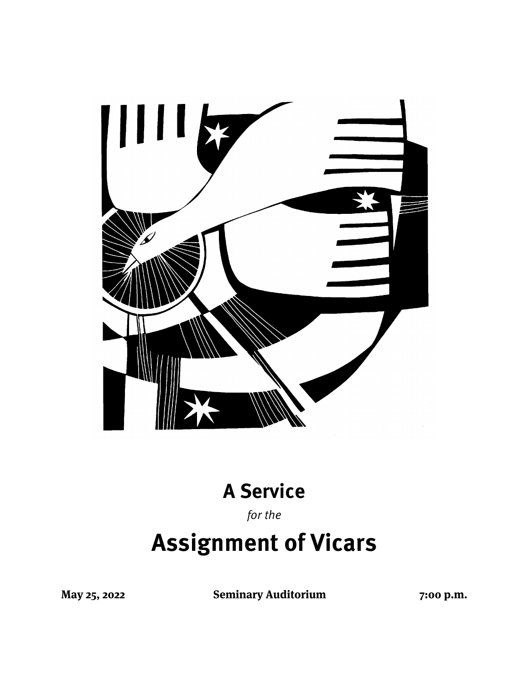

## **A Service**

for the

# **Assignment of Vicars**

**May 25, 2022 Seminary Auditorium 7:00 p.m.**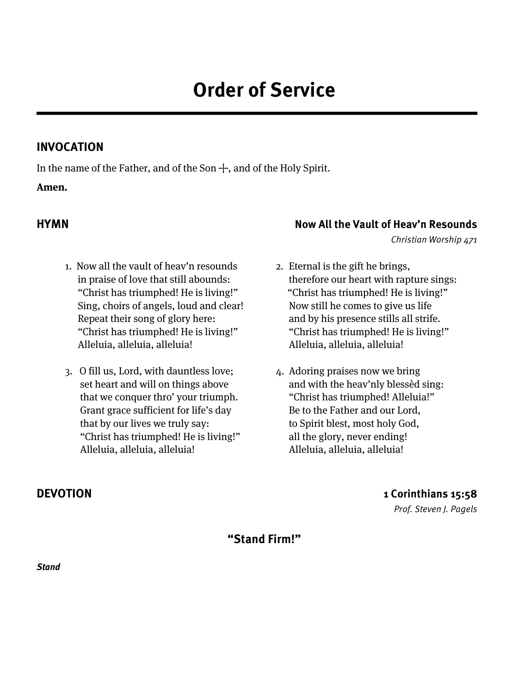### **INVOCATION**

In the name of the Father, and of the Son  $+$ , and of the Holy Spirit.

#### **Amen.**

- 1. Now all the vault of heav'n resounds in praise of love that still abounds: "Christ has triumphed! He is living!" Sing, choirs of angels, loud and clear! Repeat their song of glory here: "Christ has triumphed! He is living!" Alleluia, alleluia, alleluia!
- 3. O fill us, Lord, with dauntless love; set heart and will on things above that we conquer thro' your triumph. Grant grace sufficient for life's day that by our lives we truly say: "Christ has triumphed! He is living!" Alleluia, alleluia, alleluia!

### **HYMN Now All the Vault of Heav'n Resounds**

Christian Worship 471

- 2. Eternal is the gift he brings, therefore our heart with rapture sings: "Christ has triumphed! He is living!" Now still he comes to give us life and by his presence stills all strife. "Christ has triumphed! He is living!" Alleluia, alleluia, alleluia!
- 4. Adoring praises now we bring and with the heav'nly blessèd sing: "Christ has triumphed! Alleluia!" Be to the Father and our Lord, to Spirit blest, most holy God, all the glory, never ending! Alleluia, alleluia, alleluia!

### **DEVOTION 1 Corinthians 15:58**

Prof. Steven J. Pagels

**"Stand Firm!"**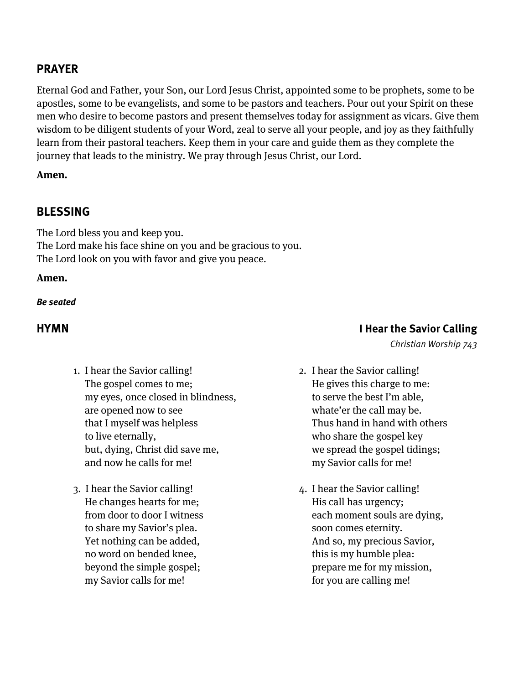#### **PRAYER**

Eternal God and Father, your Son, our Lord Jesus Christ, appointed some to be prophets, some to be apostles, some to be evangelists, and some to be pastors and teachers. Pour out your Spirit on these men who desire to become pastors and present themselves today for assignment as vicars. Give them wisdom to be diligent students of your Word, zeal to serve all your people, and joy as they faithfully learn from their pastoral teachers. Keep them in your care and guide them as they complete the journey that leads to the ministry. We pray through Jesus Christ, our Lord.

#### **Amen.**

#### **BLESSING**

The Lord bless you and keep you. The Lord make his face shine on you and be gracious to you. The Lord look on you with favor and give you peace.

#### **Amen.**

#### **Be seated**

#### **HYMN I Hear the Savior Calling**

- 1. I hear the Savior calling! The gospel comes to me; my eyes, once closed in blindness, are opened now to see that I myself was helpless to live eternally, but, dying, Christ did save me, and now he calls for me!
- 3. I hear the Savior calling! He changes hearts for me; from door to door I witness to share my Savior's plea. Yet nothing can be added, no word on bended knee, beyond the simple gospel; my Savior calls for me!

### 2. I hear the Savior calling! He gives this charge to me: to serve the best I'm able, whate'er the call may be. Thus hand in hand with others who share the gospel key we spread the gospel tidings; my Savior calls for me!

Christian Worship 743

4. I hear the Savior calling! His call has urgency; each moment souls are dying, soon comes eternity. And so, my precious Savior, this is my humble plea: prepare me for my mission, for you are calling me!